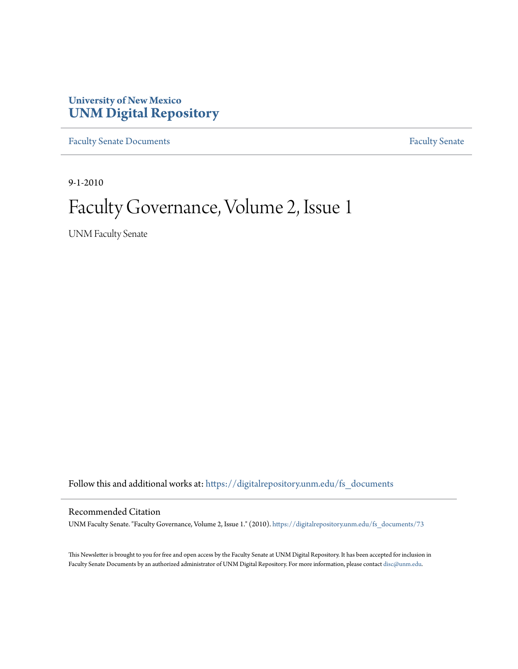## **University of New Mexico [UNM Digital Repository](https://digitalrepository.unm.edu?utm_source=digitalrepository.unm.edu%2Ffs_documents%2F73&utm_medium=PDF&utm_campaign=PDFCoverPages)**

[Faculty Senate Documents](https://digitalrepository.unm.edu/fs_documents?utm_source=digitalrepository.unm.edu%2Ffs_documents%2F73&utm_medium=PDF&utm_campaign=PDFCoverPages) **[Faculty Senate](https://digitalrepository.unm.edu/faculty_senate?utm_source=digitalrepository.unm.edu%2Ffs_documents%2F73&utm_medium=PDF&utm_campaign=PDFCoverPages)** Procuments **Faculty** Senate

9-1-2010

# Faculty Governance, Volume 2, Issue 1

UNM Faculty Senate

Follow this and additional works at: [https://digitalrepository.unm.edu/fs\\_documents](https://digitalrepository.unm.edu/fs_documents?utm_source=digitalrepository.unm.edu%2Ffs_documents%2F73&utm_medium=PDF&utm_campaign=PDFCoverPages)

#### Recommended Citation

UNM Faculty Senate. "Faculty Governance, Volume 2, Issue 1." (2010). [https://digitalrepository.unm.edu/fs\\_documents/73](https://digitalrepository.unm.edu/fs_documents/73?utm_source=digitalrepository.unm.edu%2Ffs_documents%2F73&utm_medium=PDF&utm_campaign=PDFCoverPages)

This Newsletter is brought to you for free and open access by the Faculty Senate at UNM Digital Repository. It has been accepted for inclusion in Faculty Senate Documents by an authorized administrator of UNM Digital Repository. For more information, please contact [disc@unm.edu](mailto:disc@unm.edu).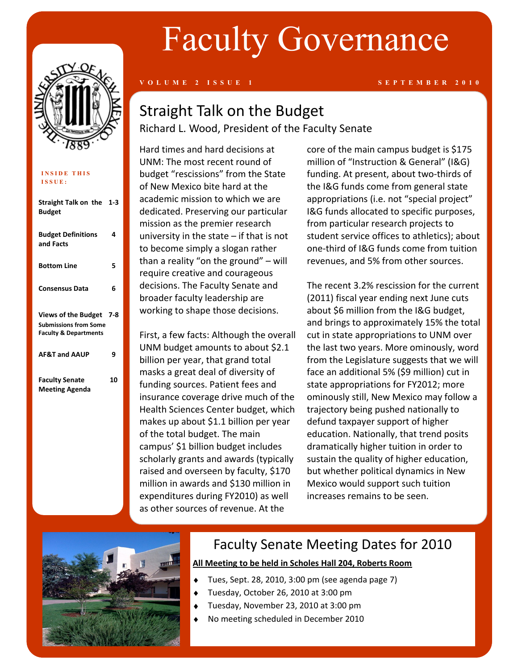

| <b>INSIDE THIS</b><br>ISSUE:                                                                   |       |
|------------------------------------------------------------------------------------------------|-------|
| Straight Talk on the 1-3<br>Budget                                                             |       |
| <b>Budget Definitions</b><br>and Facts                                                         | Δ     |
| <b>Bottom Line</b>                                                                             | 5     |
| <b>Consensus Data</b>                                                                          | 6     |
| <b>Views of the Budget</b><br><b>Submissions from Some</b><br><b>Faculty &amp; Departments</b> | - 7-8 |
| <b>AF&amp;T and AAUP</b>                                                                       | 9     |
| <b>Faculty Senate</b><br><b>Meeting Agenda</b>                                                 | 10    |

# Faculty Governance

#### **V O L U M E 2 I S S U E 1 S E P T E M B E R 2 0 1 0**

# Straight Talk on the Budget Richard L. Wood, President of the Faculty Senate

Hard times and hard decisions at UNM: The most recent round of budget "rescissions" from the State of New Mexico bite hard at the academic mission to which we are dedicated. Preserving our particular mission as the premier research university in the state – if that is not to become simply a slogan rather than a reality "on the ground" – will require creative and courageous decisions. The Faculty Senate and broader faculty leadership are working to shape those decisions.

First, a few facts: Although the overall UNM budget amounts to about \$2.1 billion per year, that grand total masks a great deal of diversity of funding sources. Patient fees and insurance coverage drive much of the Health Sciences Center budget, which makes up about \$1.1 billion per year of the total budget. The main campus' \$1 billion budget includes scholarly grants and awards (typically raised and overseen by faculty, \$170 million in awards and \$130 million in expenditures during FY2010) as well as other sources of revenue. At the

core of the main campus budget is \$175 million of "Instruction & General" (I&G) funding. At present, about two-thirds of the I&G funds come from general state appropriations (i.e. not "special project" I&G funds allocated to specific purposes, from particular research projects to student service offices to athletics); about one-third of I&G funds come from tuition revenues, and 5% from other sources.

The recent 3.2% rescission for the current (2011) fiscal year ending next June cuts about \$6 million from the I&G budget, and brings to approximately 15% the total cut in state appropriations to UNM over the last two years. More ominously, word from the Legislature suggests that we will face an additional 5% (\$9 million) cut in state appropriations for FY2012; more ominously still, New Mexico may follow a trajectory being pushed nationally to defund taxpayer support of higher education. Nationally, that trend posits dramatically higher tuition in order to sustain the quality of higher education, but whether political dynamics in New Mexico would support such tuition increases remains to be seen.



# Faculty Senate Meeting Dates for 2010

#### **All Meeting to be held in Scholes Hall 204, Roberts Room**

- Tues, Sept. 28, 2010, 3:00 pm (see agenda page 7)
- Tuesday, October 26, 2010 at 3:00 pm
- Tuesday, November 23, 2010 at 3:00 pm
- No meeting scheduled in December 2010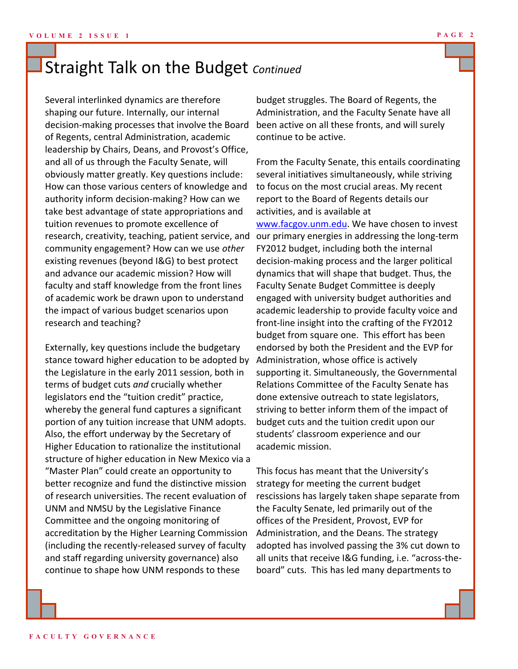# Straight Talk on the Budget *Continued*

Several interlinked dynamics are therefore shaping our future. Internally, our internal decision-making processes that involve the Board of Regents, central Administration, academic leadership by Chairs, Deans, and Provost's Office, and all of us through the Faculty Senate, will obviously matter greatly. Key questions include: How can those various centers of knowledge and authority inform decision-making? How can we take best advantage of state appropriations and tuition revenues to promote excellence of research, creativity, teaching, patient service, and community engagement? How can we use *other*  existing revenues (beyond I&G) to best protect and advance our academic mission? How will faculty and staff knowledge from the front lines of academic work be drawn upon to understand the impact of various budget scenarios upon research and teaching?

Externally, key questions include the budgetary stance toward higher education to be adopted by the Legislature in the early 2011 session, both in terms of budget cuts *and* crucially whether legislators end the "tuition credit" practice, whereby the general fund captures a significant portion of any tuition increase that UNM adopts. Also, the effort underway by the Secretary of Higher Education to rationalize the institutional structure of higher education in New Mexico via a "Master Plan" could create an opportunity to better recognize and fund the distinctive mission of research universities. The recent evaluation of UNM and NMSU by the Legislative Finance Committee and the ongoing monitoring of accreditation by the Higher Learning Commission (including the recently-released survey of faculty and staff regarding university governance) also continue to shape how UNM responds to these

budget struggles. The Board of Regents, the Administration, and the Faculty Senate have all been active on all these fronts, and will surely continue to be active.

From the Faculty Senate, this entails coordinating several initiatives simultaneously, while striving to focus on the most crucial areas. My recent report to the Board of Regents details our activities, and is available at [www.facgov.unm.edu.](http://www.facgov.unm.edu) We have chosen to invest our primary energies in addressing the long-term FY2012 budget, including both the internal decision-making process and the larger political dynamics that will shape that budget. Thus, the Faculty Senate Budget Committee is deeply engaged with university budget authorities and academic leadership to provide faculty voice and front-line insight into the crafting of the FY2012 budget from square one. This effort has been endorsed by both the President and the EVP for Administration, whose office is actively supporting it. Simultaneously, the Governmental Relations Committee of the Faculty Senate has done extensive outreach to state legislators, striving to better inform them of the impact of budget cuts and the tuition credit upon our students' classroom experience and our academic mission.

This focus has meant that the University's strategy for meeting the current budget rescissions has largely taken shape separate from the Faculty Senate, led primarily out of the offices of the President, Provost, EVP for Administration, and the Deans. The strategy adopted has involved passing the 3% cut down to all units that receive I&G funding, i.e. "across-theboard" cuts. This has led many departments to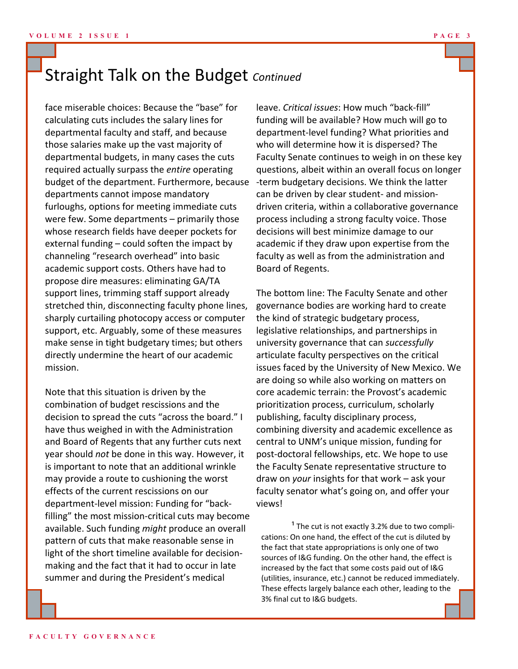# Straight Talk on the Budget *Continued*

face miserable choices: Because the "base" for calculating cuts includes the salary lines for departmental faculty and staff, and because those salaries make up the vast majority of departmental budgets, in many cases the cuts required actually surpass the *entire* operating budget of the department. Furthermore, because departments cannot impose mandatory furloughs, options for meeting immediate cuts were few. Some departments – primarily those whose research fields have deeper pockets for external funding – could soften the impact by channeling "research overhead" into basic academic support costs. Others have had to propose dire measures: eliminating GA/TA support lines, trimming staff support already stretched thin, disconnecting faculty phone lines, sharply curtailing photocopy access or computer support, etc. Arguably, some of these measures make sense in tight budgetary times; but others directly undermine the heart of our academic mission.

Note that this situation is driven by the combination of budget rescissions and the decision to spread the cuts "across the board." I have thus weighed in with the Administration and Board of Regents that any further cuts next year should *not* be done in this way. However, it is important to note that an additional wrinkle may provide a route to cushioning the worst effects of the current rescissions on our department-level mission: Funding for "backfilling" the most mission-critical cuts may become available. Such funding *might* produce an overall pattern of cuts that make reasonable sense in light of the short timeline available for decisionmaking and the fact that it had to occur in late summer and during the President's medical

leave. *Critical issues*: How much "back-fill" funding will be available? How much will go to department-level funding? What priorities and who will determine how it is dispersed? The Faculty Senate continues to weigh in on these key questions, albeit within an overall focus on longer -term budgetary decisions. We think the latter can be driven by clear student- and missiondriven criteria, within a collaborative governance process including a strong faculty voice. Those decisions will best minimize damage to our academic if they draw upon expertise from the faculty as well as from the administration and Board of Regents.

The bottom line: The Faculty Senate and other governance bodies are working hard to create the kind of strategic budgetary process, legislative relationships, and partnerships in university governance that can *successfully* articulate faculty perspectives on the critical issues faced by the University of New Mexico. We are doing so while also working on matters on core academic terrain: the Provost's academic prioritization process, curriculum, scholarly publishing, faculty disciplinary process, combining diversity and academic excellence as central to UNM's unique mission, funding for post-doctoral fellowships, etc. We hope to use the Faculty Senate representative structure to draw on *your* insights for that work – ask your faculty senator what's going on, and offer your views!

 $<sup>1</sup>$  The cut is not exactly 3.2% due to two compli-</sup> cations: On one hand, the effect of the cut is diluted by the fact that state appropriations is only one of two sources of I&G funding. On the other hand, the effect is increased by the fact that some costs paid out of I&G (utilities, insurance, etc.) cannot be reduced immediately. These effects largely balance each other, leading to the 3% final cut to I&G budgets.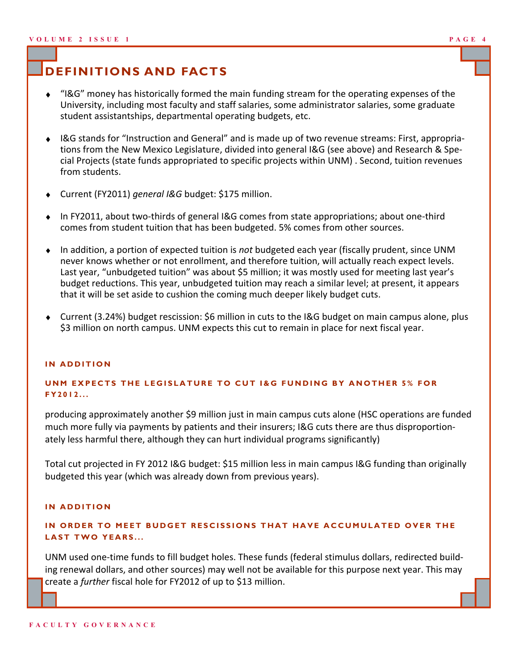# **DEFINITIONS AND FACTS**

- "I&G" money has historically formed the main funding stream for the operating expenses of the  $\ddot{\bullet}$ University, including most faculty and staff salaries, some administrator salaries, some graduate student assistantships, departmental operating budgets, etc.
- I&G stands for "Instruction and General" and is made up of two revenue streams: First, appropriations from the New Mexico Legislature, divided into general I&G (see above) and Research & Special Projects (state funds appropriated to specific projects within UNM) . Second, tuition revenues from students.
- Current (FY2011) *general I&G* budget: \$175 million.
- In FY2011, about two-thirds of general I&G comes from state appropriations; about one-third comes from student tuition that has been budgeted. 5% comes from other sources.
- In addition, a portion of expected tuition is *not* budgeted each year (fiscally prudent, since UNM never knows whether or not enrollment, and therefore tuition, will actually reach expect levels. Last year, "unbudgeted tuition" was about \$5 million; it was mostly used for meeting last year's budget reductions. This year, unbudgeted tuition may reach a similar level; at present, it appears that it will be set aside to cushion the coming much deeper likely budget cuts.
- Current (3.24%) budget rescission: \$6 million in cuts to the I&G budget on main campus alone, plus \$3 million on north campus. UNM expects this cut to remain in place for next fiscal year.

#### **IN ADDITION**

#### **UNM EXPECTS THE LEGISLATURE TO CUT I&G FUNDING BY ANOTHER 5% FOR F Y 2 0 1 2 . . .**

producing approximately another \$9 million just in main campus cuts alone (HSC operations are funded much more fully via payments by patients and their insurers; I&G cuts there are thus disproportionately less harmful there, although they can hurt individual programs significantly)

Total cut projected in FY 2012 I&G budget: \$15 million less in main campus I&G funding than originally budgeted this year (which was already down from previous years).

#### **IN ADDITION**

#### IN ORDER TO MEET BUDGET RESCISSIONS THAT HAVE ACCUMULATED OVER THE **LAST TWO YEARS...**

UNM used one-time funds to fill budget holes. These funds (federal stimulus dollars, redirected building renewal dollars, and other sources) may well not be available for this purpose next year. This may create a *further* fiscal hole for FY2012 of up to \$13 million.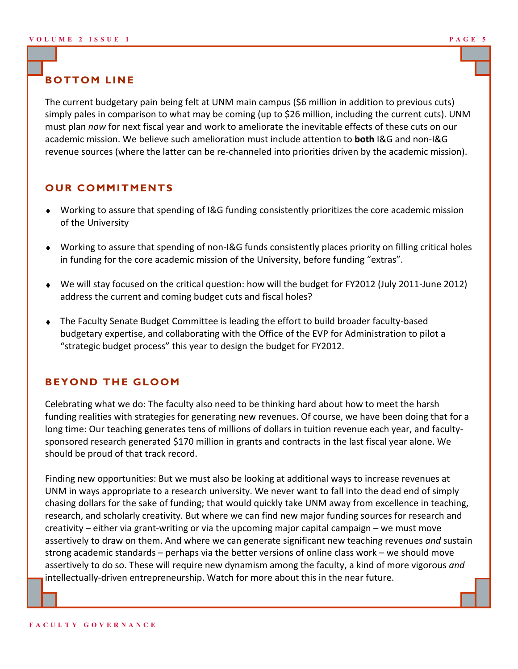## **BOTTOM LINE**

The current budgetary pain being felt at UNM main campus (\$6 million in addition to previous cuts) simply pales in comparison to what may be coming (up to \$26 million, including the current cuts). UNM must plan *now* for next fiscal year and work to ameliorate the inevitable effects of these cuts on our academic mission. We believe such amelioration must include attention to **both** I&G and non-I&G revenue sources (where the latter can be re-channeled into priorities driven by the academic mission).

### **OUR COMMITMENTS**

- Working to assure that spending of I&G funding consistently prioritizes the core academic mission of the University
- Working to assure that spending of non-I&G funds consistently places priority on filling critical holes in funding for the core academic mission of the University, before funding "extras".
- We will stay focused on the critical question: how will the budget for FY2012 (July 2011-June 2012) address the current and coming budget cuts and fiscal holes?
- The Faculty Senate Budget Committee is leading the effort to build broader faculty-based budgetary expertise, and collaborating with the Office of the EVP for Administration to pilot a "strategic budget process" this year to design the budget for FY2012.

### **BEYOND THE GLOOM**

Celebrating what we do: The faculty also need to be thinking hard about how to meet the harsh funding realities with strategies for generating new revenues. Of course, we have been doing that for a long time: Our teaching generates tens of millions of dollars in tuition revenue each year, and facultysponsored research generated \$170 million in grants and contracts in the last fiscal year alone. We should be proud of that track record.

Finding new opportunities: But we must also be looking at additional ways to increase revenues at UNM in ways appropriate to a research university. We never want to fall into the dead end of simply chasing dollars for the sake of funding; that would quickly take UNM away from excellence in teaching, research, and scholarly creativity. But where we can find new major funding sources for research and creativity – either via grant-writing or via the upcoming major capital campaign – we must move assertively to draw on them. And where we can generate significant new teaching revenues *and* sustain strong academic standards – perhaps via the better versions of online class work – we should move assertively to do so. These will require new dynamism among the faculty, a kind of more vigorous *and*  intellectually-driven entrepreneurship. Watch for more about this in the near future.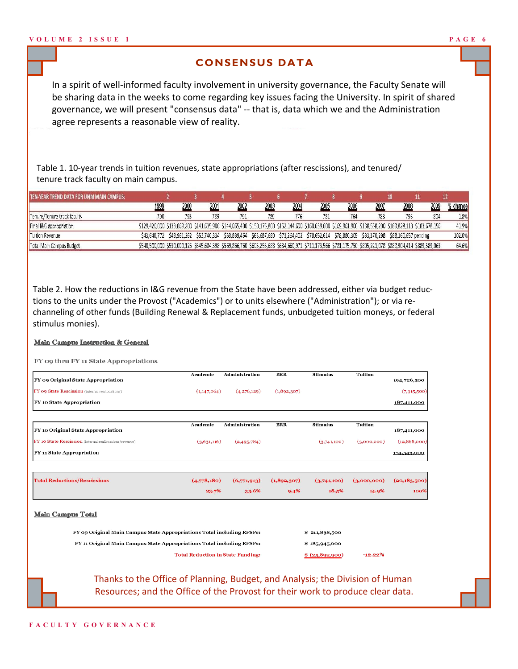#### **CONSENSUS DATA**

In a spirit of well-informed faculty involvement in university governance, the Faculty Senate will be sharing data in the weeks to come regarding key issues facing the University. In spirit of shared governance, we will present "consensus data" -- that is, data which we and the Administration agree represents a reasonable view of reality.

Table 1. 10-year trends in tuition revenues, state appropriations (after rescissions), and tenured/ tenure track faculty on main campus.

| TEN-YEAR TREND DATA FOR UNM MAIN CAMPUS: |              |      |      |      |      |      |      |      |      |                                                                                                                                           |                                                                                                                                                           |        |
|------------------------------------------|--------------|------|------|------|------|------|------|------|------|-------------------------------------------------------------------------------------------------------------------------------------------|-----------------------------------------------------------------------------------------------------------------------------------------------------------|--------|
|                                          | <u> 1999</u> | 2000 | 2001 | 2002 | 2003 | 2004 | 2005 | 2006 | 2007 | 2008                                                                                                                                      | 2009                                                                                                                                                      | change |
| Tenure/Tenure-track faculty              | 79C          | 793  | 789  | 791  | 789  | 776  | 781  | 764  | 783  | 793                                                                                                                                       |                                                                                                                                                           | 1.8%   |
| Final I&G appropriation                  |              |      |      |      |      |      |      |      |      |                                                                                                                                           | \$129,420,000 \$133,869,200 \$141,635,900 \$144,065,400 \$150,175,800 \$152,144,600 \$160,639,600 \$169,961,900 \$188,558,200 \$189,828,113 \$183,678,156 | 41.9%  |
| Tuition Revenue                          |              |      |      |      |      |      |      |      |      | \$43,640,772 \$48,961,262 \$53,740,334 \$58,889,464 \$63,687,680 \$73,264,402 \$78,652,614 \$78,880,305 \$83,370,298 \$88,160,657 pending |                                                                                                                                                           | 102.0% |
| Total Main Campus Budget                 |              |      |      |      |      |      |      |      |      |                                                                                                                                           | \$540,500,000 \$530,000,125 \$545,684,398 \$569,866,760 \$605,253,688 \$634,660,971 \$711,173,566 \$781,175,750 \$805,221,078 \$888,904,414 \$889,589,063 | 64.6%  |

Table 2. How the reductions in I&G revenue from the State have been addressed, either via budget reductions to the units under the Provost ("Academics") or to units elsewhere ("Administration"); or via rechanneling of other funds (Building Renewal & Replacement funds, unbudgeted tuition moneys, or federal stimulus monies).

#### Main Campus Instruction & General

FY 09 thru FY 11 State Appropriations

|                                                                        | Academic      | <b>Administration</b>                    | <b>BRR</b>    | <b>Stimulus</b> | <b>Tuition</b> |                |
|------------------------------------------------------------------------|---------------|------------------------------------------|---------------|-----------------|----------------|----------------|
| FY 09 Original State Appropriation                                     |               |                                          |               |                 |                | 194,726,500    |
| FY 09 State Rescission (internal reallocations)                        | (1, 147, 064) | (4,276,129)                              | (1,892,307)   |                 |                | (7,315,500)    |
| FY 10 State Appropriation                                              |               |                                          |               |                 |                | 187,411,000    |
|                                                                        | Academic      | <b>Administration</b>                    | <b>BRR</b>    | <b>Stimulus</b> | Tuition        |                |
| FY 10 Original State Appropriation                                     |               |                                          |               |                 |                | 187,411,000    |
| FY 10 State Rescission (internal reallocations/revenue)                | (3,631,116)   | (2,495,784)                              |               | (3,741,100)     | (3,000,000)    | (12,868,000)   |
| FY 11 State Appropriation                                              |               |                                          |               |                 |                | 174,543,000    |
|                                                                        |               |                                          |               |                 |                |                |
| <b>Total Reductions/Rescissions</b>                                    | (4.778, 180)  | (6,771,913)                              | (1,892,307)   | (3,741,100)     | (3,000,000)    | (20, 183, 500) |
|                                                                        | 23.7%         | 33.6%                                    | 9.4%          | 18.5%           | 14.9%          | 100%           |
| <b>Main Campus Total</b>                                               |               |                                          |               |                 |                |                |
| FY 09 Original Main Campus State Appropriations Total including RPSPs: |               | \$211,838,500                            |               |                 |                |                |
| FY 11 Original Main Campus State Appropriations Total including RPSPs: |               |                                          | \$18,5945,600 |                 |                |                |
|                                                                        |               | <b>Total Reduction in State Funding:</b> |               | \$ (25,892,900) | $-12.22%$      |                |

Thanks to the Office of Planning, Budget, and Analysis; the Division of Human Resources; and the Office of the Provost for their work to produce clear data.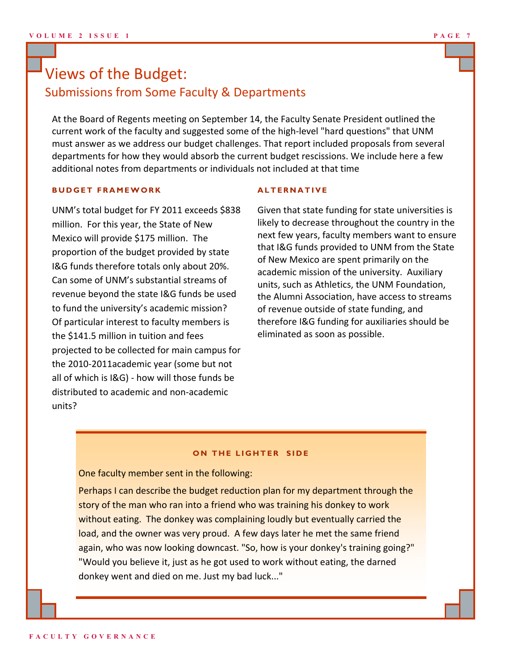# Views of the Budget: Submissions from Some Faculty & Departments

At the Board of Regents meeting on September 14, the Faculty Senate President outlined the current work of the faculty and suggested some of the high-level "hard questions" that UNM must answer as we address our budget challenges. That report included proposals from several departments for how they would absorb the current budget rescissions. We include here a few additional notes from departments or individuals not included at that time

#### **B U D G E T F R A M E W O R K**

UNM's total budget for FY 2011 exceeds \$838 million. For this year, the State of New Mexico will provide \$175 million. The proportion of the budget provided by state I&G funds therefore totals only about 20%. Can some of UNM's substantial streams of revenue beyond the state I&G funds be used to fund the university's academic mission? Of particular interest to faculty members is the \$141.5 million in tuition and fees projected to be collected for main campus for the 2010-2011academic year (some but not all of which is I&G) - how will those funds be distributed to academic and non-academic units?

#### **A L T E R N A T I V E**

Given that state funding for state universities is likely to decrease throughout the country in the next few years, faculty members want to ensure that I&G funds provided to UNM from the State of New Mexico are spent primarily on the academic mission of the university. Auxiliary units, such as Athletics, the UNM Foundation, the Alumni Association, have access to streams of revenue outside of state funding, and therefore I&G funding for auxiliaries should be eliminated as soon as possible.

#### **ON THE LIGHTER SIDE**

One faculty member sent in the following:

Perhaps I can describe the budget reduction plan for my department through the story of the man who ran into a friend who was training his donkey to work without eating. The donkey was complaining loudly but eventually carried the load, and the owner was very proud. A few days later he met the same friend again, who was now looking downcast. "So, how is your donkey's training going?" "Would you believe it, just as he got used to work without eating, the darned donkey went and died on me. Just my bad luck..."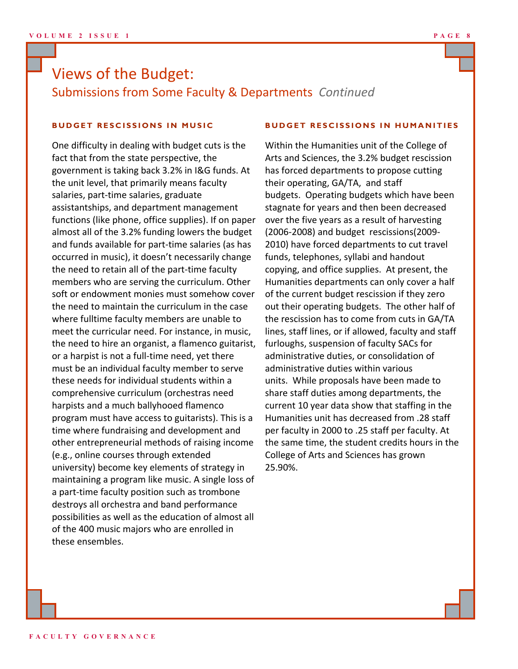# Views of the Budget: Submissions from Some Faculty & Departments *Continued*

#### **BUDGET RESCISSIONS IN MUSIC**

One difficulty in dealing with budget cuts is the fact that from the state perspective, the government is taking back 3.2% in I&G funds. At the unit level, that primarily means faculty salaries, part-time salaries, graduate assistantships, and department management functions (like phone, office supplies). If on paper almost all of the 3.2% funding lowers the budget and funds available for part-time salaries (as has occurred in music), it doesn't necessarily change the need to retain all of the part-time faculty members who are serving the curriculum. Other soft or endowment monies must somehow cover the need to maintain the curriculum in the case where fulltime faculty members are unable to meet the curricular need. For instance, in music, the need to hire an organist, a flamenco guitarist, or a harpist is not a full-time need, yet there must be an individual faculty member to serve these needs for individual students within a comprehensive curriculum (orchestras need harpists and a much ballyhooed flamenco program must have access to guitarists). This is a time where fundraising and development and other entrepreneurial methods of raising income (e.g., online courses through extended university) become key elements of strategy in maintaining a program like music. A single loss of a part-time faculty position such as trombone destroys all orchestra and band performance possibilities as well as the education of almost all of the 400 music majors who are enrolled in these ensembles.

#### **BUDGET RESCISSIONS IN HUMANITIES**

Within the Humanities unit of the College of Arts and Sciences, the 3.2% budget rescission has forced departments to propose cutting their operating, GA/TA, and staff budgets. Operating budgets which have been stagnate for years and then been decreased over the five years as a result of harvesting (2006-2008) and budget rescissions(2009- 2010) have forced departments to cut travel funds, telephones, syllabi and handout copying, and office supplies. At present, the Humanities departments can only cover a half of the current budget rescission if they zero out their operating budgets. The other half of the rescission has to come from cuts in GA/TA lines, staff lines, or if allowed, faculty and staff furloughs, suspension of faculty SACs for administrative duties, or consolidation of administrative duties within various units. While proposals have been made to share staff duties among departments, the current 10 year data show that staffing in the Humanities unit has decreased from .28 staff per faculty in 2000 to .25 staff per faculty. At the same time, the student credits hours in the College of Arts and Sciences has grown 25.90%.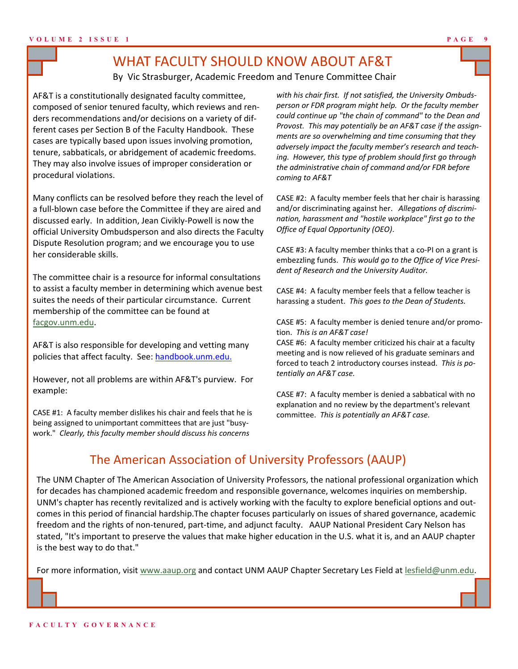# WHAT FACULTY SHOULD KNOW ABOUT AF&T

By Vic Strasburger, Academic Freedom and Tenure Committee Chair

AF&T is a constitutionally designated faculty committee, composed of senior tenured faculty, which reviews and renders recommendations and/or decisions on a variety of different cases per Section B of the Faculty Handbook. These cases are typically based upon issues involving promotion, tenure, sabbaticals, or abridgement of academic freedoms. They may also involve issues of improper consideration or procedural violations.

Many conflicts can be resolved before they reach the level of a full-blown case before the Committee if they are aired and discussed early. In addition, Jean Civikly-Powell is now the official University Ombudsperson and also directs the Faculty Dispute Resolution program; and we encourage you to use her considerable skills.

The committee chair is a resource for informal consultations to assist a faculty member in determining which avenue best suites the needs of their particular circumstance. Current membership of the committee can be found at [facgov.unm.edu.](http://facgov.unm.edu)

AF&T is also responsible for developing and vetting many policies that affect faculty. See: handbook.unm.edu.

However, not all problems are within AF&T's purview. For example:

CASE #1: A faculty member dislikes his chair and feels that he is being assigned to unimportant committees that are just "busywork." *Clearly, this faculty member should discuss his concerns* 

*with his chair first. If not satisfied, the University Ombudsperson or FDR program might help. Or the faculty member could continue up "the chain of command" to the Dean and Provost. This may potentially be an AF&T case if the assignments are so overwhelming and time consuming that they adversely impact the faculty member's research and teaching. However, this type of problem should first go through the administrative chain of command and/or FDR before coming to AF&T*

CASE #2: A faculty member feels that her chair is harassing and/or discriminating against her. *Allegations of discrimination, harassment and "hostile workplace" first go to the Office of Equal Opportunity (OEO)*.

CASE #3: A faculty member thinks that a co-PI on a grant is embezzling funds. *This would go to the Office of Vice President of Research and the University Auditor.*

CASE #4: A faculty member feels that a fellow teacher is harassing a student. *This goes to the Dean of Students.*

CASE #5: A faculty member is denied tenure and/or promotion. *This is an AF&T case!*

CASE #6: A faculty member criticized his chair at a faculty meeting and is now relieved of his graduate seminars and forced to teach 2 introductory courses instead. *This is potentially an AF&T case.*

CASE #7: A faculty member is denied a sabbatical with no explanation and no review by the department's relevant committee. *This is potentially an AF&T case.*

# The American Association of University Professors (AAUP)

The UNM Chapter of The American Association of University Professors, the national professional organization which for decades has championed academic freedom and responsible governance, welcomes inquiries on membership. UNM's chapter has recently revitalized and is actively working with the faculty to explore beneficial options and outcomes in this period of financial hardship.The chapter focuses particularly on issues of shared governance, academic freedom and the rights of non-tenured, part-time, and adjunct faculty. AAUP National President Cary Nelson has stated, "It's important to preserve the values that make higher education in the U.S. what it is, and an AAUP chapter is the best way to do that."

For more information, visit [www.aaup.org](http://www.aaup.org) and contact UNM AAUP Chapter Secretary Les Field at [lesfield@unm.edu.](mailto:lesfield@unm.edu)